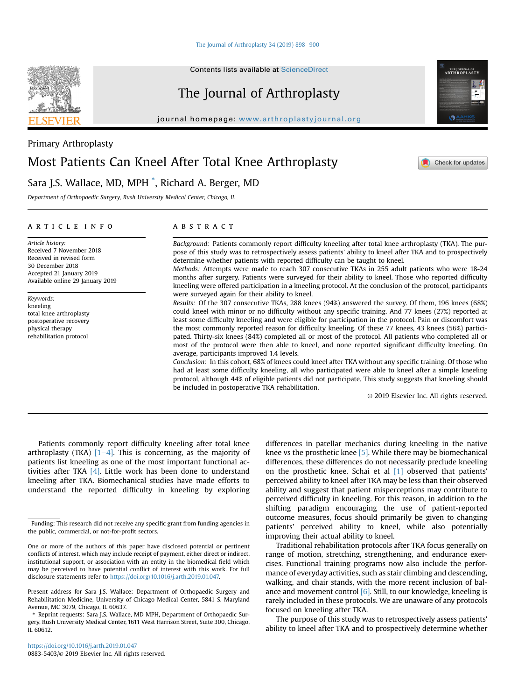Contents lists available at [ScienceDirect](www.sciencedirect.com/science/journal/08835403)

# The Journal of Arthroplasty

journal homepage: [www.arthroplastyjournal.org](http://www.arthroplastyjournal.org)



# Sara J.S. Wallace, MD, MPH \* , Richard A. Berger, MD

Department of Orthopaedic Surgery, Rush University Medical Center, Chicago, IL

## article info

Article history: Received 7 November 2018 Received in revised form 30 December 2018 Accepted 21 January 2019 Available online 29 January 2019

Keywords: kneeling total knee arthroplasty postoperative recovery physical therapy rehabilitation protocol

# **ABSTRACT**

Background: Patients commonly report difficulty kneeling after total knee arthroplasty (TKA). The purpose of this study was to retrospectively assess patients' ability to kneel after TKA and to prospectively determine whether patients with reported difficulty can be taught to kneel.

Methods: Attempts were made to reach 307 consecutive TKAs in 255 adult patients who were 18-24 months after surgery. Patients were surveyed for their ability to kneel. Those who reported difficulty kneeling were offered participation in a kneeling protocol. At the conclusion of the protocol, participants were surveyed again for their ability to kneel.

Results: Of the 307 consecutive TKAs, 288 knees (94%) answered the survey. Of them, 196 knees (68%) could kneel with minor or no difficulty without any specific training. And 77 knees (27%) reported at least some difficulty kneeling and were eligible for participation in the protocol. Pain or discomfort was the most commonly reported reason for difficulty kneeling. Of these 77 knees, 43 knees (56%) participated. Thirty-six knees (84%) completed all or most of the protocol. All patients who completed all or most of the protocol were then able to kneel, and none reported significant difficulty kneeling. On average, participants improved 1.4 levels.

Conclusion: In this cohort, 68% of knees could kneel after TKA without any specific training. Of those who had at least some difficulty kneeling, all who participated were able to kneel after a simple kneeling protocol, although 44% of eligible patients did not participate. This study suggests that kneeling should be included in postoperative TKA rehabilitation.

© 2019 Elsevier Inc. All rights reserved.

Patients commonly report difficulty kneeling after total knee arthroplasty (TKA)  $[1-4]$  $[1-4]$  $[1-4]$ . This is concerning, as the majority of patients list kneeling as one of the most important functional activities after TKA [\[4\].](#page-2-0) Little work has been done to understand kneeling after TKA. Biomechanical studies have made efforts to understand the reported difficulty in kneeling by exploring

differences in patellar mechanics during kneeling in the native knee vs the prosthetic knee [\[5\]](#page-2-0). While there may be biomechanical differences, these differences do not necessarily preclude kneeling on the prosthetic knee. Schai et al [\[1\]](#page-2-0) observed that patients' perceived ability to kneel after TKA may be less than their observed ability and suggest that patient misperceptions may contribute to perceived difficulty in kneeling. For this reason, in addition to the shifting paradigm encouraging the use of patient-reported outcome measures, focus should primarily be given to changing patients' perceived ability to kneel, while also potentially improving their actual ability to kneel.

Traditional rehabilitation protocols after TKA focus generally on range of motion, stretching, strengthening, and endurance exercises. Functional training programs now also include the performance of everyday activities, such as stair climbing and descending, walking, and chair stands, with the more recent inclusion of balance and movement control  $[6]$ . Still, to our knowledge, kneeling is rarely included in these protocols. We are unaware of any protocols focused on kneeling after TKA.

The purpose of this study was to retrospectively assess patients' ability to kneel after TKA and to prospectively determine whether





Check for updates

Funding: This research did not receive any specific grant from funding agencies in the public, commercial, or not-for-profit sectors.

One or more of the authors of this paper have disclosed potential or pertinent conflicts of interest, which may include receipt of payment, either direct or indirect, institutional support, or association with an entity in the biomedical field which may be perceived to have potential conflict of interest with this work. For full disclosure statements refer to [https://doi.org/10.1016/j.arth.2019.01.047.](https://doi.org/10.1016/j.arth.2019.01.047)

Present address for Sara J.S. Wallace: Department of Orthopaedic Surgery and Rehabilitation Medicine, University of Chicago Medical Center, 5841 S. Maryland Avenue, MC 3079, Chicago, IL 60637.

<sup>\*</sup> Reprint requests: Sara J.S. Wallace, MD MPH, Department of Orthopaedic Surgery, Rush University Medical Center, 1611 West Harrison Street, Suite 300, Chicago, IL 60612.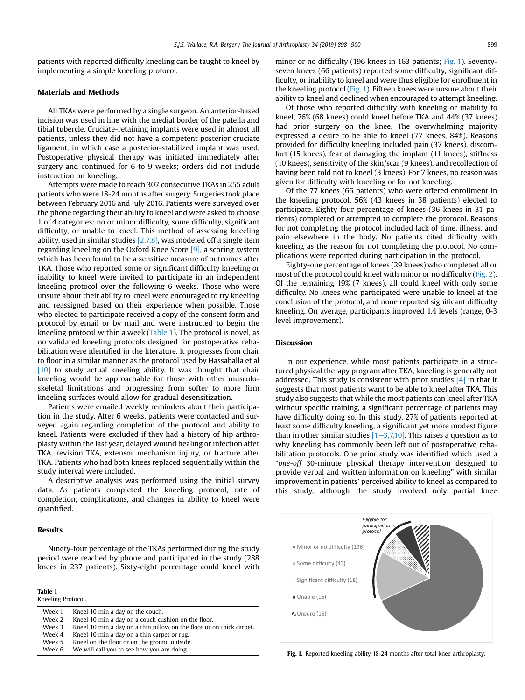patients with reported difficulty kneeling can be taught to kneel by implementing a simple kneeling protocol.

#### Materials and Methods

All TKAs were performed by a single surgeon. An anterior-based incision was used in line with the medial border of the patella and tibial tubercle. Cruciate-retaining implants were used in almost all patients, unless they did not have a competent posterior cruciate ligament, in which case a posterior-stabilized implant was used. Postoperative physical therapy was initiated immediately after surgery and continued for 6 to 9 weeks; orders did not include instruction on kneeling.

Attempts were made to reach 307 consecutive TKAs in 255 adult patients who were 18-24 months after surgery. Surgeries took place between February 2016 and July 2016. Patients were surveyed over the phone regarding their ability to kneel and were asked to choose 1 of 4 categories: no or minor difficulty, some difficulty, significant difficulty, or unable to kneel. This method of assessing kneeling ability, used in similar studies [\[2,7,8\],](#page-2-0) was modeled off a single item regarding kneeling on the Oxford Knee Score [\[9\]](#page-2-0), a scoring system which has been found to be a sensitive measure of outcomes after TKA. Those who reported some or significant difficulty kneeling or inability to kneel were invited to participate in an independent kneeling protocol over the following 6 weeks. Those who were unsure about their ability to kneel were encouraged to try kneeling and reassigned based on their experience when possible. Those who elected to participate received a copy of the consent form and protocol by email or by mail and were instructed to begin the kneeling protocol within a week (Table 1). The protocol is novel, as no validated kneeling protocols designed for postoperative rehabilitation were identified in the literature. It progresses from chair to floor in a similar manner as the protocol used by Hassaballa et al [\[10\]](#page-2-0) to study actual kneeling ability. It was thought that chair kneeling would be approachable for those with other musculoskeletal limitations and progressing from softer to more firm kneeling surfaces would allow for gradual desensitization.

Patients were emailed weekly reminders about their participation in the study. After 6 weeks, patients were contacted and surveyed again regarding completion of the protocol and ability to kneel. Patients were excluded if they had a history of hip arthroplasty within the last year, delayed wound healing or infection after TKA, revision TKA, extensor mechanism injury, or fracture after TKA. Patients who had both knees replaced sequentially within the study interval were included.

A descriptive analysis was performed using the initial survey data. As patients completed the kneeling protocol, rate of completion, complications, and changes in ability to kneel were quantified.

# Results

Ninety-four percentage of the TKAs performed during the study period were reached by phone and participated in the study (288 knees in 237 patients). Sixty-eight percentage could kneel with

Table 1 Kneeling Protocol.

| 1.1122111177.101000011 |                                                                      |
|------------------------|----------------------------------------------------------------------|
| Week 1                 | Kneel 10 min a day on the couch.                                     |
| Week 2                 | Kneel 10 min a day on a couch cushion on the floor.                  |
| Week 3                 | Kneel 10 min a day on a thin pillow on the floor or on thick carpet. |
| Week 4                 | Kneel 10 min a day on a thin carpet or rug.                          |
| Week 5                 | Kneel on the floor or on the ground outside.                         |
| Week 6                 | We will call you to see how you are doing.                           |
|                        |                                                                      |

minor or no difficulty (196 knees in 163 patients; Fig. 1). Seventyseven knees (66 patients) reported some difficulty, significant difficulty, or inability to kneel and were thus eligible for enrollment in the kneeling protocol (Fig. 1). Fifteen knees were unsure about their ability to kneel and declined when encouraged to attempt kneeling.

Of those who reported difficulty with kneeling or inability to kneel, 76% (68 knees) could kneel before TKA and 44% (37 knees) had prior surgery on the knee. The overwhelming majority expressed a desire to be able to kneel (77 knees, 84%). Reasons provided for difficulty kneeling included pain (37 knees), discomfort (15 knees), fear of damaging the implant (11 knees), stiffness (10 knees), sensitivity of the skin/scar (9 knees), and recollection of having been told not to kneel (3 knees). For 7 knees, no reason was given for difficulty with kneeling or for not kneeling.

Of the 77 knees (66 patients) who were offered enrollment in the kneeling protocol, 56% (43 knees in 38 patients) elected to participate. Eighty-four percentage of knees (36 knees in 31 patients) completed or attempted to complete the protocol. Reasons for not completing the protocol included lack of time, illness, and pain elsewhere in the body. No patients cited difficulty with kneeling as the reason for not completing the protocol. No complications were reported during participation in the protocol.

Eighty-one percentage of knees (29 knees) who completed all or most of the protocol could kneel with minor or no difficulty [\(Fig. 2\)](#page-2-0). Of the remaining 19% (7 knees), all could kneel with only some difficulty. No knees who participated were unable to kneel at the conclusion of the protocol, and none reported significant difficulty kneeling. On average, participants improved 1.4 levels (range, 0-3 level improvement).

#### **Discussion**

In our experience, while most patients participate in a structured physical therapy program after TKA, kneeling is generally not addressed. This study is consistent with prior studies  $[4]$  in that it suggests that most patients want to be able to kneel after TKA. This study also suggests that while the most patients can kneel after TKA without specific training, a significant percentage of patients may have difficulty doing so. In this study, 27% of patients reported at least some difficulty kneeling, a significant yet more modest figure than in other similar studies  $[1–3,7,10]$  $[1–3,7,10]$ . This raises a question as to why kneeling has commonly been left out of postoperative rehabilitation protocols. One prior study was identified which used a "one-off 30-minute physical therapy intervention designed to provide verbal and written information on kneeling" with similar improvement in patients' perceived ability to kneel as compared to this study, although the study involved only partial knee



Fig. 1. Reported kneeling ability 18-24 months after total knee arthroplasty.